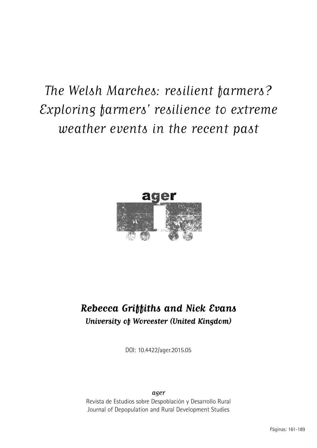# The Welsh Marches: resilient farmers? Exploring farmers' resilience to extreme weather events in the recent past



# **Rebecca Griffiths and Nick Evans University of Worcester (United Kingdom)**

DOI: 10.4422/ager.2015.05

ager Revista de Estudios sobre Despoblación y Desarrollo Rural Journal of Depopulation and Rural Development Studies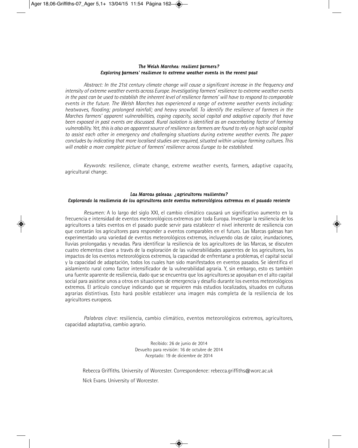#### The Welsh Marches: resilient farmers? Exploring farmers' resilience to extreme weather events in the recent past

*Abstract: In the 21st century climate change will cause a significant increase in the frequency and intensity of extreme weather events across Europe. Investigating farmers' resilience to extreme weather events in the past can be used to establish the inherent level of resilience farmers' will have to respond to comparable events in the future. The Welsh Marches has experienced a range of extreme weather events including: heatwaves, flooding; prolonged rainfall; and heavy snowfall. To identify the resilience of farmers in the Marches farmers' apparent vulnerabilities, coping capacity, social capital and adaptive capacity that have been exposed in past events are discussed. Rural isolation is identified as an exacerbating factor of farming vulnerability. Yet, this is also an apparent source of resilience as farmers are found to rely on high social capital to assist each other in emergency and challenging situations during extreme weather events. The paper concludes by indicating that more localised studies are required, situated within unique farming cultures. This will enable a more complete picture of farmers' resilience across Europe to be established.*

*Keywords*: resilience, climate change, extreme weather events, farmers, adaptive capacity, agricultural change.

#### Las Marcas galesas: ¿agricultores resilientes? Explorando la resiliencia de los agricultores ante eventos meteorológicos extremos en el pasado reciente

*Resumen:* A lo largo del siglo XXI, el cambio climático causará un significativo aumento en la frecuencia e intensidad de eventos meteorológicos extremos por toda Europa. Investigar la resiliencia de los agricultores a tales eventos en el pasado puede servir para establecer el nivel inherente de resiliencia con que contarán los agricultores para responder a eventos comparables en el futuro. Las Marcas galesas han experimentado una variedad de eventos meteorológicos extremos, incluyendo olas de calor, inundaciones, lluvias prolongadas y nevadas. Para identificar la resiliencia de los agricultores de las Marcas, se discuten cuatro elementos clave a través de la exploración de las vulnerabilidades aparentes de los agricultores, los impactos de los eventos meteorológicos extremos, la capacidad de enfrentarse a problemas, el capital social y la capacidad de adaptación, todos los cuales han sido manifestados en eventos pasados. Se identifica el aislamiento rural como factor intensificador de la vulnerabilidad agraria. Y, sin embargo, esto es también una fuente aparente de resiliencia, dado que se encuentra que los agricultores se apoyaban en el alto capital social para asistirse unos a otros en situaciones de emergencia y desafío durante los eventos meteorológicos extremos. El artículo concluye indicando que se requieren más estudios localizados, situados en culturas agrarias distintivas. Esto hará posible establecer una imagen más completa de la resiliencia de los agricultores europeos.

*Palabras clave*: resiliencia, cambio climático, eventos meteorológicos extremos, agricultores, capacidad adaptativa, cambio agrario.

> Recibido: 26 de junio de 2014 Devuelto para revisión: 16 de octubre de 2014 Aceptado: 19 de diciembre de 2014

Rebecca Griffiths. University of Worcester. Correspondence: rebecca.griffiths@worc.ac.uk

Nick Evans. University of Worcester.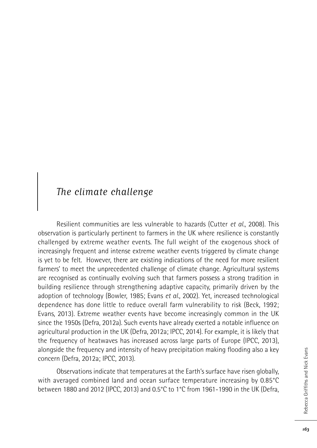### The climate challenge

Resilient communities are less vulnerable to hazards (Cutter *et al.*, 2008). This observation is particularly pertinent to farmers in the UK where resilience is constantly challenged by extreme weather events. The full weight of the exogenous shock of increasingly frequent and intense extreme weather events triggered by climate change is yet to be felt. However, there are existing indications of the need for more resilient farmers' to meet the unprecedented challenge of climate change. Agricultural systems are recognised as continually evolving such that farmers possess a strong tradition in building resilience through strengthening adaptive capacity, primarily driven by the adoption of technology (Bowler, 1985; Evans *et al.*, 2002). Yet, increased technological dependence has done little to reduce overall farm vulnerability to risk (Beck, 1992; Evans, 2013). Extreme weather events have become increasingly common in the UK since the 1950s (Defra, 2012a). Such events have already exerted a notable influence on agricultural production in the UK (Defra, 2012a; IPCC, 2014). For example, it is likely that the frequency of heatwaves has increased across large parts of Europe (IPCC, 2013), alongside the frequency and intensity of heavy precipitation making flooding also a key concern (Defra, 2012a; IPCC, 2013).

Observations indicate that temperatures at the Earth's surface have risen globally, with averaged combined land and ocean surface temperature increasing by 0.85°C between 1880 and 2012 (IPCC, 2013) and 0.5°C to 1°C from 1961-1990 in the UK (Defra,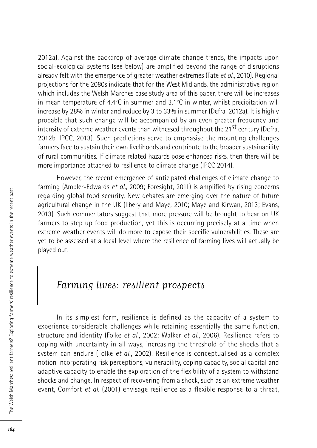2012a). Against the backdrop of average climate change trends, the impacts upon social-ecological systems (see below) are amplified beyond the range of disruptions already felt with the emergence of greater weather extremes (Tate *et al.*, 2010). Regional projections for the 2080s indicate that for the West Midlands, the administrative region which includes the Welsh Marches case study area of this paper, there will be increases in mean temperature of 4.4°C in summer and 3.1°C in winter, whilst precipitation will increase by 28% in winter and reduce by 3 to 33% in summer (Defra, 2012a). It is highly probable that such change will be accompanied by an even greater frequency and intensity of extreme weather events than witnessed throughout the 21<sup>st</sup> century (Defra, 2012b, IPCC, 2013). Such predictions serve to emphasise the mounting challenges farmers face to sustain their own livelihoods and contribute to the broader sustainability of rural communities. If climate related hazards pose enhanced risks, then there will be more importance attached to resilience to climate change (IPCC 2014).

However, the recent emergence of anticipated challenges of climate change to farming (Ambler-Edwards *et al.*, 2009; Foresight, 2011) is amplified by rising concerns regarding global food security. New debates are emerging over the nature of future agricultural change in the UK (Ilbery and Maye, 2010; Maye and Kirwan, 2013; Evans, 2013). Such commentators suggest that more pressure will be brought to bear on UK farmers to step up food production, yet this is occurring precisely at a time when extreme weather events will do more to expose their specific vulnerabilities. These are yet to be assessed at a local level where the resilience of farming lives will actually be played out.

### Farming lives: resilient prospects

In its simplest form, resilience is defined as the capacity of a system to experience considerable challenges while retaining essentially the same function, structure and identity (Folke *et al.*, 2002; Walker *et al.*, 2006). Resilience refers to coping with uncertainty in all ways, increasing the threshold of the shocks that a system can endure (Folke *et al.*, 2002). Resilience is conceptualised as a complex notion incorporating risk perceptions, vulnerability, coping capacity, social capital and adaptive capacity to enable the exploration of the flexibility of a system to withstand shocks and change. In respect of recovering from a shock, such as an extreme weather event, Comfort *et al.* (2001) envisage resilience as a flexible response to a threat,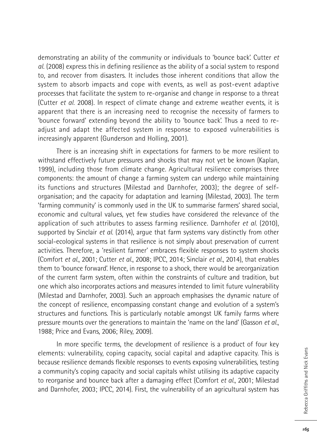demonstrating an ability of the community or individuals to 'bounce back'. Cutter *et al.* (2008) express this in defining resilience as the ability of a social system to respond to, and recover from disasters. It includes those inherent conditions that allow the system to absorb impacts and cope with events, as well as post-event adaptive processes that facilitate the system to re-organise and change in response to a threat (Cutter *et al.* 2008). In respect of climate change and extreme weather events, it is apparent that there is an increasing need to recognise the necessity of farmers to 'bounce forward' extending beyond the ability to 'bounce back'. Thus a need to readjust and adapt the affected system in response to exposed vulnerabilities is increasingly apparent (Gunderson and Holling, 2001).

There is an increasing shift in expectations for farmers to be more resilient to withstand effectively future pressures and shocks that may not yet be known (Kaplan, 1999), including those from climate change. Agricultural resilience comprises three components: the amount of change a farming system can undergo while maintaining its functions and structures (Milestad and Darnhofer, 2003); the degree of selforganisation; and the capacity for adaptation and learning (Milestad, 2003). The term 'farming community' is commonly used in the UK to summarise farmers' shared social, economic and cultural values, yet few studies have considered the relevance of the application of such attributes to assess farming resilience. Darnhofer *et al.* (2010), supported by Sinclair *et al.* (2014), argue that farm systems vary distinctly from other social-ecological systems in that resilience is not simply about preservation of current activities. Therefore, a 'resilient farmer' embraces flexible responses to system shocks (Comfort *et al.*, 2001; Cutter *et al.*, 2008; IPCC, 2014; Sinclair *et al.*, 2014), that enables them to 'bounce forward'. Hence, in response to a shock, there would be areorganization of the current farm system, often within the constraints of culture and tradition, but one which also incorporates actions and measures intended to limit future vulnerability (Milestad and Darnhofer, 2003). Such an approach emphasises the dynamic nature of the concept of resilience, encompassing constant change and evolution of a system's structures and functions. This is particularly notable amongst UK family farms where pressure mounts over the generations to maintain the 'name on the land' (Gasson *et al.*, 1988; Price and Evans, 2006; Riley, 2009).

In more specific terms, the development of resilience is a product of four key elements: vulnerability, coping capacity, social capital and adaptive capacity. This is because resilience demands flexible responses to events exposing vulnerabilities, testing a community's coping capacity and social capitals whilst utilising its adaptive capacity to reorganise and bounce back after a damaging effect (Comfort *et al.*, 2001; Milestad and Darnhofer, 2003; IPCC, 2014). First, the vulnerability of an agricultural system has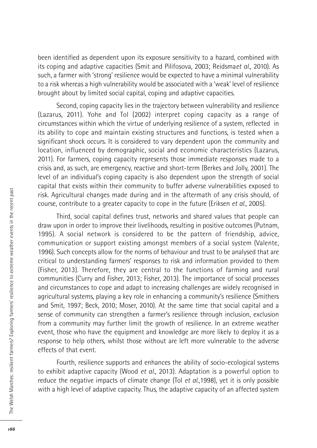been identified as dependent upon its exposure sensitivity to a hazard, combined with its coping and adaptive capacities (Smit and Pilifosova, 2003; Reidsma*et al.*, 2010). As such, a farmer with 'strong' resilience would be expected to have a minimal vulnerability to a risk whereas a high vulnerability would be associated with a 'weak' level of resilience brought about by limited social capital, coping and adaptive capacities.

Second, coping capacity lies in the trajectory between vulnerability and resilience (Lazarus, 2011). Yohe and Tol (2002) interpret coping capacity as a range of circumstances within which the virtue of underlying resilience of a system, reflected in its ability to cope and maintain existing structures and functions, is tested when a significant shock occurs. It is considered to vary dependent upon the community and location, influenced by demographic, social and economic characteristics (Lazarus, 2011). For farmers, coping capacity represents those immediate responses made to a crisis and, as such, are emergency, reactive and short-term (Berkes and Jolly, 2001). The level of an individual's coping capacity is also dependent upon the strength of social capital that exists within their community to buffer adverse vulnerabilities exposed to risk. Agricultural changes made during and in the aftermath of any crisis should, of course, contribute to a greater capacity to cope in the future (Eriksen *et al.*, 2005).

Third, social capital defines trust, networks and shared values that people can draw upon in order to improve their livelihoods, resulting in positive outcomes (Putnam, 1995). A social network is considered to be the pattern of friendship, advice, communication or support existing amongst members of a social system (Valente, 1996). Such concepts allow for the norms of behaviour and trust to be analysed that are critical to understanding farmers' responses to risk and information provided to them (Fisher, 2013). Therefore, they are central to the functions of farming and rural communities (Curry and Fisher, 2013; Fisher, 2013). The importance of social processes and circumstances to cope and adapt to increasing challenges are widely recognised in agricultural systems, playing a key role in enhancing a community's resilience (Smithers and Smit, 1997; Beck, 2010; Moser, 2010). At the same time that social capital and a sense of community can strengthen a farmer's resilience through inclusion, exclusion from a community may further limit the growth of resilience. In an extreme weather event, those who have the equipment and knowledge are more likely to deploy it as a response to help others, whilst those without are left more vulnerable to the adverse effects of that event.

Fourth, resilience supports and enhances the ability of socio-ecological systems to exhibit adaptive capacity (Wood *et al.*, 2013). Adaptation is a powerful option to reduce the negative impacts of climate change (Tol *et al.*,1998), yet it is only possible with a high level of adaptive capacity. Thus, the adaptive capacity of an affected system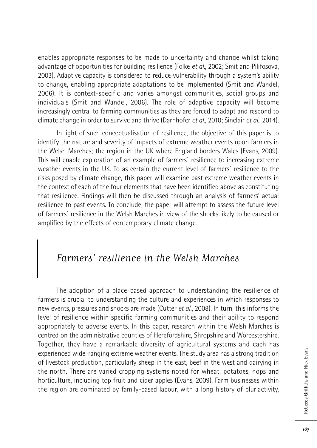enables appropriate responses to be made to uncertainty and change whilst taking advantage of opportunities for building resilience (Folke *et al.*, 2002; Smit and Pilifosova, 2003). Adaptive capacity is considered to reduce vulnerability through a system's ability to change, enabling appropriate adaptations to be implemented (Smit and Wandel, 2006). It is context-specific and varies amongst communities, social groups and individuals (Smit and Wandel, 2006). The role of adaptive capacity will become increasingly central to farming communities as they are forced to adapt and respond to climate change in order to survive and thrive (Darnhofer *et al.*, 2010; Sinclair *et al.*, 2014).

In light of such conceptualisation of resilience, the objective of this paper is to identify the nature and severity of impacts of extreme weather events upon farmers in the Welsh Marches; the region in the UK where England borders Wales (Evans, 2009). This will enable exploration of an example of farmers` resilience to increasing extreme weather events in the UK. To as certain the current level of farmers` resilience to the risks posed by climate change, this paper will examine past extreme weather events in the context of each of the four elements that have been identified above as constituting that resilience. Findings will then be discussed through an analysis of farmers' actual resilience to past events. To conclude, the paper will attempt to assess the future level of farmers` resilience in the Welsh Marches in view of the shocks likely to be caused or amplified by the effects of contemporary climate change.

# Farmers' resilience in the Welsh Marches

The adoption of a place-based approach to understanding the resilience of farmers is crucial to understanding the culture and experiences in which responses to new events, pressures and shocks are made (Cutter *et al.*, 2008). In turn, this informs the level of resilience within specific farming communities and their ability to respond appropriately to adverse events. In this paper, research within the Welsh Marches is centred on the administrative counties of Herefordshire, Shropshire and Worcestershire. Together, they have a remarkable diversity of agricultural systems and each has experienced wide-ranging extreme weather events. The study area has a strong tradition of livestock production, particularly sheep in the east, beef in the west and dairying in the north. There are varied cropping systems noted for wheat, potatoes, hops and horticulture, including top fruit and cider apples (Evans, 2009). Farm businesses within the region are dominated by family-based labour, with a long history of pluriactivity,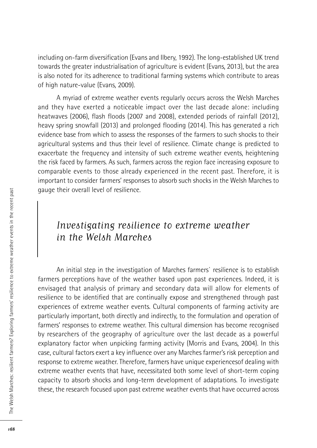including on-farm diversification (Evans and Ilbery, 1992). The long-established UK trend towards the greater industrialisation of agriculture is evident (Evans, 2013), but the area is also noted for its adherence to traditional farming systems which contribute to areas of high nature-value (Evans, 2009).

A myriad of extreme weather events regularly occurs across the Welsh Marches and they have exerted a noticeable impact over the last decade alone: including heatwaves (2006), flash floods (2007 and 2008), extended periods of rainfall (2012), heavy spring snowfall (2013) and prolonged flooding (2014). This has generated a rich evidence base from which to assess the responses of the farmers to such shocks to their agricultural systems and thus their level of resilience. Climate change is predicted to exacerbate the frequency and intensity of such extreme weather events, heightening the risk faced by farmers. As such, farmers across the region face increasing exposure to comparable events to those already experienced in the recent past. Therefore, it is important to consider farmers' responses to absorb such shocks in the Welsh Marches to gauge their overall level of resilience.

# Investigating resilience to extreme weather in the Welsh Marches

An initial step in the investigation of Marches farmers` resilience is to establish farmers perceptions have of the weather based upon past experiences. Indeed, it is envisaged that analysis of primary and secondary data will allow for elements of resilience to be identified that are continually expose and strengthened through past experiences of extreme weather events. Cultural components of farming activity are particularly important, both directly and indirectly, to the formulation and operation of farmers' responses to extreme weather. This cultural dimension has become recognised by researchers of the geography of agriculture over the last decade as a powerful explanatory factor when unpicking farming activity (Morris and Evans, 2004). In this case, cultural factors exert a key influence over any Marches farmer's risk perception and response to extreme weather. Therefore, farmers have unique experiencesof dealing with extreme weather events that have, necessitated both some level of short-term coping capacity to absorb shocks and long-term development of adaptations. To investigate these, the research focused upon past extreme weather events that have occurred across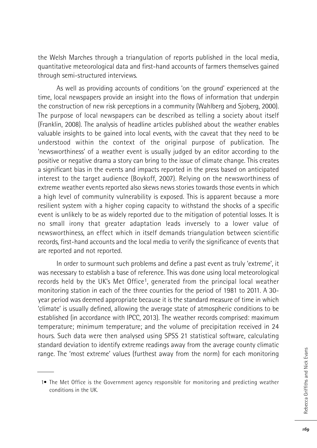the Welsh Marches through a triangulation of reports published in the local media, quantitative meteorological data and first-hand accounts of farmers themselves gained through semi-structured interviews.

As well as providing accounts of conditions 'on the ground' experienced at the time, local newspapers provide an insight into the flows of information that underpin the construction of new risk perceptions in a community (Wahlberg and Sjoberg, 2000). The purpose of local newspapers can be described as telling a society about itself (Franklin, 2008). The analysis of headline articles published about the weather enables valuable insights to be gained into local events, with the caveat that they need to be understood within the context of the original purpose of publication. The 'newsworthiness' of a weather event is usually judged by an editor according to the positive or negative drama a story can bring to the issue of climate change. This creates a significant bias in the events and impacts reported in the press based on anticipated interest to the target audience (Boykoff, 2007). Relying on the newsworthiness of extreme weather events reported also skews news stories towards those events in which a high level of community vulnerability is exposed. This is apparent because a more resilient system with a higher coping capacity to withstand the shocks of a specific event is unlikely to be as widely reported due to the mitigation of potential losses. It is no small irony that greater adaptation leads inversely to a lower value of newsworthiness, an effect which in itself demands triangulation between scientific records, first-hand accounts and the local media to verify the significance of events that are reported and not reported.

In order to surmount such problems and define a past event as truly 'extreme', it was necessary to establish a base of reference. This was done using local meteorological records held by the UK's Met Office1, generated from the principal local weather monitoring station in each of the three counties for the period of 1981 to 2011. A 30 year period was deemed appropriate because it is the standard measure of time in which 'climate' is usually defined, allowing the average state of atmospheric conditions to be established (in accordance with IPCC, 2013). The weather records comprised: maximum temperature; minimum temperature; and the volume of precipitation received in 24 hours. Such data were then analysed using SPSS 21 statistical software, calculating standard deviation to identify extreme readings away from the average county climatic range. The 'most extreme' values (furthest away from the norm) for each monitoring

<sup>1•</sup> The Met Office is the Government agency responsible for monitoring and predicting weather conditions in the UK.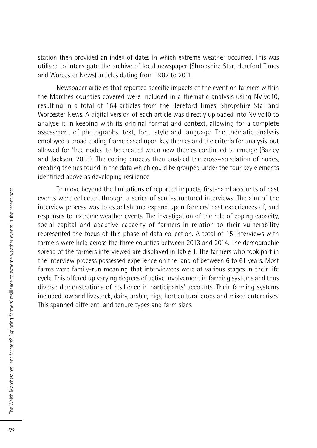station then provided an index of dates in which extreme weather occurred. This was utilised to interrogate the archive of local newspaper (Shropshire Star, Hereford Times and Worcester News) articles dating from 1982 to 2011.

Newspaper articles that reported specific impacts of the event on farmers within the Marches counties covered were included in a thematic analysis using NVivo10, resulting in a total of 164 articles from the Hereford Times, Shropshire Star and Worcester News. A digital version of each article was directly uploaded into NVivo10 to analyse it in keeping with its original format and context, allowing for a complete assessment of photographs, text, font, style and language. The thematic analysis employed a broad coding frame based upon key themes and the criteria for analysis, but allowed for 'free nodes' to be created when new themes continued to emerge (Bazley and Jackson, 2013). The coding process then enabled the cross-correlation of nodes, creating themes found in the data which could be grouped under the four key elements identified above as developing resilience.

To move beyond the limitations of reported impacts, first-hand accounts of past events were collected through a series of semi-structured interviews. The aim of the interview process was to establish and expand upon farmers' past experiences of, and responses to, extreme weather events. The investigation of the role of coping capacity, social capital and adaptive capacity of farmers in relation to their vulnerability represented the focus of this phase of data collection. A total of 15 interviews with farmers were held across the three counties between 2013 and 2014. The demographic spread of the farmers interviewed are displayed in Table 1. The farmers who took part in the interview process possessed experience on the land of between 6 to 61 years. Most farms were family-run meaning that interviewees were at various stages in their life cycle. This offered up varying degrees of active involvement in farming systems and thus diverse demonstrations of resilience in participants' accounts. Their farming systems included lowland livestock, dairy, arable, pigs, horticultural crops and mixed enterprises. This spanned different land tenure types and farm sizes.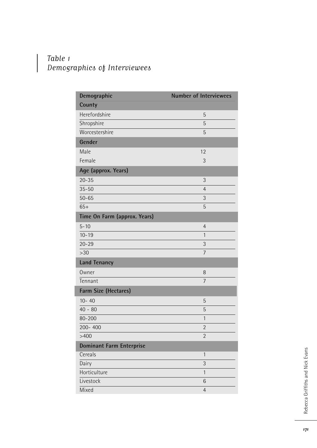### Table 1 Demographics of Interviewees

| Demographic                     | <b>Number of Interviewees</b> |
|---------------------------------|-------------------------------|
| County                          |                               |
| Herefordshire                   | 5                             |
| Shropshire                      | 5                             |
| Worcestershire                  | 5                             |
| Gender                          |                               |
| Male                            | 12                            |
| Female                          | 3                             |
| Age (approx. Years)             |                               |
| $20 - 35$                       | 3                             |
| $35 - 50$                       | $\overline{4}$                |
| $50 - 65$                       | 3                             |
| $65+$                           | 5                             |
| Time On Farm (approx. Years)    |                               |
| $5 - 10$                        | 4                             |
| $10 - 19$                       | $\mathbf{1}$                  |
| $20 - 29$                       | 3                             |
| >30                             | $\overline{7}$                |
| <b>Land Tenancy</b>             |                               |
| Owner                           | 8                             |
| Tennant                         | $\overline{7}$                |
| Farm Size (Hectares)            |                               |
| $10 - 40$                       | 5                             |
| $40 - 80$                       | 5                             |
| 80-200                          | $\mathbf{1}$                  |
| 200-400                         | $\overline{2}$                |
| >400                            | $\overline{2}$                |
| <b>Dominant Farm Enterprise</b> |                               |
| Cereals                         | $\mathbf{1}$                  |
| Dairy                           | 3                             |
| Horticulture                    | $\mathbf{1}$                  |
| Livestock                       | 6                             |
| Mixed                           | 4                             |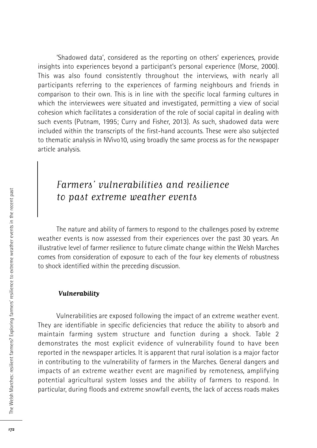'Shadowed data', considered as the reporting on others' experiences, provide insights into experiences beyond a participant's personal experience (Morse, 2000). This was also found consistently throughout the interviews, with nearly all participants referring to the experiences of farming neighbours and friends in comparison to their own. This is in line with the specific local farming cultures in which the interviewees were situated and investigated, permitting a view of social cohesion which facilitates a consideration of the role of social capital in dealing with such events (Putnam, 1995; Curry and Fisher, 2013). As such, shadowed data were included within the transcripts of the first-hand accounts. These were also subjected to thematic analysis in NVivo10, using broadly the same process as for the newspaper article analysis.

# Farmers' vulnerabilities and resilience to past extreme weather events

The nature and ability of farmers to respond to the challenges posed by extreme weather events is now assessed from their experiences over the past 30 years. An illustrative level of farmer resilience to future climate change within the Welsh Marches comes from consideration of exposure to each of the four key elements of robustness to shock identified within the preceding discussion.

#### **Vulnerability**

Vulnerabilities are exposed following the impact of an extreme weather event. They are identifiable in specific deficiencies that reduce the ability to absorb and maintain farming system structure and function during a shock. Table 2 demonstrates the most explicit evidence of vulnerability found to have been reported in the newspaper articles. It is apparent that rural isolation is a major factor in contributing to the vulnerability of farmers in the Marches. General dangers and impacts of an extreme weather event are magnified by remoteness, amplifying potential agricultural system losses and the ability of farmers to respond. In particular, during floods and extreme snowfall events, the lack of access roads makes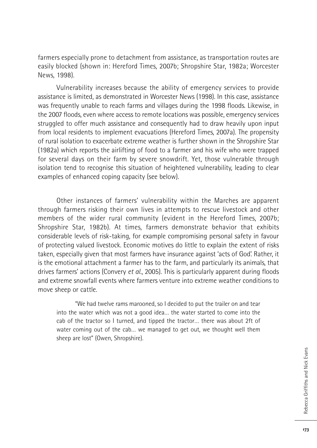farmers especially prone to detachment from assistance, as transportation routes are easily blocked (shown in: Hereford Times, 2007b; Shropshire Star, 1982a; Worcester News, 1998).

Vulnerability increases because the ability of emergency services to provide assistance is limited, as demonstrated in Worcester News (1998). In this case, assistance was frequently unable to reach farms and villages during the 1998 floods. Likewise, in the 2007 floods, even where access to remote locations was possible, emergency services struggled to offer much assistance and consequently had to draw heavily upon input from local residents to implement evacuations (Hereford Times, 2007a). The propensity of rural isolation to exacerbate extreme weather is further shown in the Shropshire Star (1982a) which reports the airlifting of food to a farmer and his wife who were trapped for several days on their farm by severe snowdrift. Yet, those vulnerable through isolation tend to recognise this situation of heightened vulnerability, leading to clear examples of enhanced coping capacity (see below).

Other instances of farmers' vulnerability within the Marches are apparent through farmers risking their own lives in attempts to rescue livestock and other members of the wider rural community (evident in the Hereford Times, 2007b; Shropshire Star, 1982b). At times, farmers demonstrate behavior that exhibits considerable levels of risk-taking, for example compromising personal safety in favour of protecting valued livestock. Economic motives do little to explain the extent of risks taken, especially given that most farmers have insurance against 'acts of God'. Rather, it is the emotional attachment a farmer has to the farm, and particularly its animals, that drives farmers' actions (Convery *et al*., 2005). This is particularly apparent during floods and extreme snowfall events where farmers venture into extreme weather conditions to move sheep or cattle.

"We had twelve rams marooned, so I decided to put the trailer on and tear into the water which was not a good idea… the water started to come into the cab of the tractor so I turned, and tipped the tractor… there was about 2ft of water coming out of the cab… we managed to get out, we thought well them sheep are lost" (Owen, Shropshire).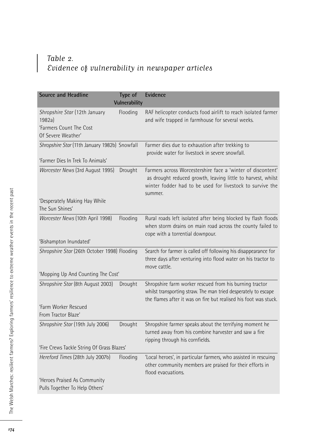### Table 2. Evidence of vulnerability in newspaper articles

| Source and Headline                                            | Type of<br>Vulnerability | Evidence                                                                                                                                                                                            |
|----------------------------------------------------------------|--------------------------|-----------------------------------------------------------------------------------------------------------------------------------------------------------------------------------------------------|
| Shropshire Star (12th January<br>1982a)                        | Flooding                 | RAF helicopter conducts food airlift to reach isolated farmer<br>and wife trapped in farmhouse for several weeks.                                                                                   |
| 'Farmers Count The Cost<br>Of Severe Weather'                  |                          |                                                                                                                                                                                                     |
| Shropshire Star (11th January 1982b) Snowfall                  |                          | Farmer dies due to exhaustion after trekking to<br>provide water for livestock in severe snowfall.                                                                                                  |
| 'Farmer Dies In Trek To Animals'                               |                          |                                                                                                                                                                                                     |
| Worcester News (3rd August 1995)                               | Drought                  | Farmers across Worcestershire face a 'winter of discontent'<br>as drought reduced growth, leaving little to harvest, whilst<br>winter fodder had to be used for livestock to survive the<br>summer. |
| 'Desperately Making Hay While                                  |                          |                                                                                                                                                                                                     |
| The Sun Shines'                                                |                          |                                                                                                                                                                                                     |
| Worcester News (10th April 1998)                               | Flooding                 | Rural roads left isolated after being blocked by flash floods<br>when storm drains on main road across the county failed to<br>cope with a torrential downpour.                                     |
| 'Bishampton Inundated'                                         |                          |                                                                                                                                                                                                     |
| Shropshire Star (26th October 1998) Flooding                   |                          | Search for farmer is called off following his disappearance for                                                                                                                                     |
|                                                                |                          | three days after venturing into flood water on his tractor to<br>move cattle.                                                                                                                       |
| 'Mopping Up And Counting The Cost'                             |                          |                                                                                                                                                                                                     |
| Shropshire Star (8th August 2003)                              | Drought                  | Shropshire farm worker rescued from his burning tractor<br>whilst transporting straw. The man tried desperately to escape<br>the flames after it was on fire but realised his foot was stuck.       |
| 'Farm Worker Rescued<br>From Tractor Blaze'                    |                          |                                                                                                                                                                                                     |
| Shropshire Star (19th July 2006)                               | Drought                  | Shropshire farmer speaks about the terrifying moment he<br>turned away from his combine harvester and saw a fire<br>ripping through his cornfields.                                                 |
| 'Fire Crews Tackle String Of Grass Blazes'                     |                          |                                                                                                                                                                                                     |
| Hereford Times (28th July 2007b)                               | Flooding                 | 'Local heroes', in particular farmers, who assisted in rescuing<br>other community members are praised for their efforts in<br>flood evacuations.                                                   |
| 'Heroes Praised As Community<br>Pulls Together To Help Others' |                          |                                                                                                                                                                                                     |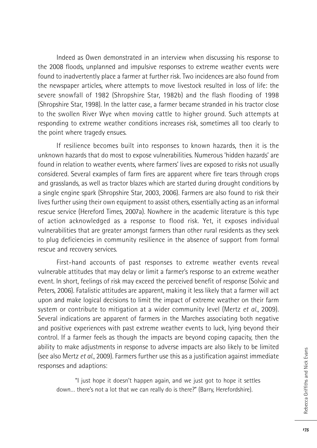Indeed as Owen demonstrated in an interview when discussing his response to the 2008 floods, unplanned and impulsive responses to extreme weather events were found to inadvertently place a farmer at further risk. Two incidences are also found from the newspaper articles, where attempts to move livestock resulted in loss of life: the severe snowfall of 1982 (Shropshire Star, 1982b) and the flash flooding of 1998 (Shropshire Star, 1998). In the latter case, a farmer became stranded in his tractor close to the swollen River Wye when moving cattle to higher ground. Such attempts at responding to extreme weather conditions increases risk, sometimes all too clearly to the point where tragedy ensues.

If resilience becomes built into responses to known hazards, then it is the unknown hazards that do most to expose vulnerabilities. Numerous 'hidden hazards' are found in relation to weather events, where farmers' lives are exposed to risks not usually considered. Several examples of farm fires are apparent where fire tears through crops and grasslands, as well as tractor blazes which are started during drought conditions by a single engine spark (Shropshire Star, 2003, 2006). Farmers are also found to risk their lives further using their own equipment to assist others, essentially acting as an informal rescue service (Hereford Times, 2007a). Nowhere in the academic literature is this type of action acknowledged as a response to flood risk. Yet, it exposes individual vulnerabilities that are greater amongst farmers than other rural residents as they seek to plug deficiencies in community resilience in the absence of support from formal rescue and recovery services.

First-hand accounts of past responses to extreme weather events reveal vulnerable attitudes that may delay or limit a farmer's response to an extreme weather event. In short, feelings of risk may exceed the perceived benefit of response (Solvic and Peters, 2006). Fatalistic attitudes are apparent, making it less likely that a farmer will act upon and make logical decisions to limit the impact of extreme weather on their farm system or contribute to mitigation at a wider community level (Mertz *et al.*, 2009). Several indications are apparent of farmers in the Marches associating both negative and positive experiences with past extreme weather events to luck, lying beyond their control. If a farmer feels as though the impacts are beyond coping capacity, then the ability to make adjustments in response to adverse impacts are also likely to be limited (see also Mertz *et al.*, 2009). Farmers further use this as a justification against immediate responses and adaptions:

"I just hope it doesn't happen again, and we just got to hope it settles down… there's not a lot that we can really do is there?" (Barry, Herefordshire).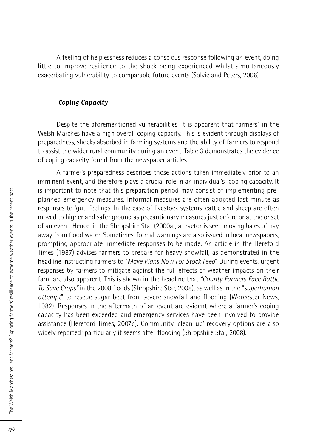A feeling of helplessness reduces a conscious response following an event, doing little to improve resilience to the shock being experienced whilst simultaneously exacerbating vulnerability to comparable future events (Solvic and Peters, 2006).

#### **Coping Capacity**

Despite the aforementioned vulnerabilities, it is apparent that farmers` in the Welsh Marches have a high overall coping capacity. This is evident through displays of preparedness, shocks absorbed in farming systems and the ability of farmers to respond to assist the wider rural community during an event. Table 3 demonstrates the evidence of coping capacity found from the newspaper articles.

A farmer's preparedness describes those actions taken immediately prior to an imminent event, and therefore plays a crucial role in an individual's coping capacity. It is important to note that this preparation period may consist of implementing preplanned emergency measures. Informal measures are often adopted last minute as responses to 'gut' feelings. In the case of livestock systems, cattle and sheep are often moved to higher and safer ground as precautionary measures just before or at the onset of an event. Hence, in the Shropshire Star (2000a), a tractor is seen moving bales of hay away from flood water. Sometimes, formal warnings are also issued in local newspapers, prompting appropriate immediate responses to be made. An article in the Hereford Times (1987) advises farmers to prepare for heavy snowfall, as demonstrated in the headline instructing farmers to "*Make Plans Now For Stock Feed*". During events, urgent responses by farmers to mitigate against the full effects of weather impacts on their farm are also apparent. This is shown in the headline that *"County Farmers Face Battle To Save Crops"* in the 2008 floods (Shropshire Star, 2008), as well as in the "*superhuman attempt*" to rescue sugar beet from severe snowfall and flooding (Worcester News, 1982). Responses in the aftermath of an event are evident where a farmer's coping capacity has been exceeded and emergency services have been involved to provide assistance (Hereford Times, 2007b). Community 'clean-up' recovery options are also widely reported; particularly it seems after flooding (Shropshire Star, 2008).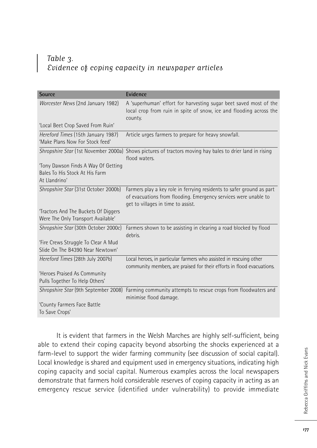### Table 3. Evidence of coping capacity in newspaper articles

| Source                                                                                 | Evidence                                                                                                                                                                       |
|----------------------------------------------------------------------------------------|--------------------------------------------------------------------------------------------------------------------------------------------------------------------------------|
| Worcester News (2nd January 1982)                                                      | A 'superhuman' effort for harvesting sugar beet saved most of the<br>local crop from ruin in spite of snow, ice and flooding across the<br>county.                             |
| 'Local Beet Crop Saved From Ruin'                                                      |                                                                                                                                                                                |
| Hereford Times (15th January 1987)<br>'Make Plans Now For Stock feed'                  | Article urges farmers to prepare for heavy snowfall.                                                                                                                           |
|                                                                                        | Shropshire Star (1st November 2000a) Shows pictures of tractors moving hay bales to drier land in rising<br>flood waters.                                                      |
| 'Tony Dawson Finds A Way Of Getting<br>Bales To His Stock At His Farm<br>At Llandrino' |                                                                                                                                                                                |
| Shropshire Star (31st October 2000b)                                                   | Farmers play a key role in ferrying residents to safer ground as part<br>of evacuations from flooding. Emergency services were unable to<br>get to villages in time to assist. |
| Tractors And The Buckets Of Diggers<br>Were The Only Transport Available'              |                                                                                                                                                                                |
| Shropshire Star (30th October 2000c)                                                   | Farmers shown to be assisting in clearing a road blocked by flood<br>debris.                                                                                                   |
| 'Fire Crews Struggle To Clear A Mud<br>Slide On The B4390 Near Newtown'                |                                                                                                                                                                                |
| Hereford Times (28th July 2007b)                                                       | Local heroes, in particular farmers who assisted in rescuing other<br>community members, are praised for their efforts in flood evacuations.                                   |
| 'Heroes Praised As Community<br>Pulls Together To Help Others'                         |                                                                                                                                                                                |
| Shropshire Star (9th September 2008)                                                   | Farming community attempts to rescue crops from floodwaters and<br>minimise flood damage.                                                                                      |
| 'County Farmers Face Battle<br>To Save Crops'                                          |                                                                                                                                                                                |

It is evident that farmers in the Welsh Marches are highly self-sufficient, being able to extend their coping capacity beyond absorbing the shocks experienced at a farm-level to support the wider farming community (see discussion of social capital). Local knowledge is shared and equipment used in emergency situations, indicating high coping capacity and social capital. Numerous examples across the local newspapers demonstrate that farmers hold considerable reserves of coping capacity in acting as an emergency rescue service (identified under vulnerability) to provide immediate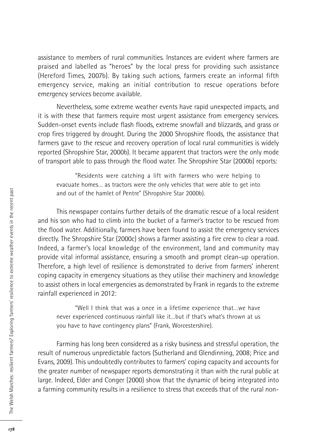assistance to members of rural communities. Instances are evident where farmers are praised and labelled as "heroes" by the local press for providing such assistance (Hereford Times, 2007b). By taking such actions, farmers create an informal fifth emergency service, making an initial contribution to rescue operations before emergency services become available.

Nevertheless, some extreme weather events have rapid unexpected impacts, and it is with these that farmers require most urgent assistance from emergency services. Sudden-onset events include flash floods, extreme snowfall and blizzards, and grass or crop fires triggered by drought. During the 2000 Shropshire floods, the assistance that farmers gave to the rescue and recovery operation of local rural communities is widely reported (Shropshire Star, 2000b). It became apparent that tractors were the only mode of transport able to pass through the flood water. The Shropshire Star (2000b) reports:

"Residents were catching a lift with farmers who were helping to evacuate homes… as tractors were the only vehicles that were able to get into and out of the hamlet of Pentre" (Shropshire Star 2000b).

This newspaper contains further details of the dramatic rescue of a local resident and his son who had to climb into the bucket of a farmer's tractor to be rescued from the flood water. Additionally, farmers have been found to assist the emergency services directly. The Shropshire Star (2000c) shows a farmer assisting a fire crew to clear a road. Indeed, a farmer's local knowledge of the environment, land and community may provide vital informal assistance, ensuring a smooth and prompt clean-up operation. Therefore, a high level of resilience is demonstrated to derive from farmers' inherent coping capacity in emergency situations as they utilise their machinery and knowledge to assist others in local emergencies as demonstrated by Frank in regards to the extreme rainfall experienced in 2012:

"Well I think that was a once in a lifetime experience that…we have never experienced continuous rainfall like it…but if that's what's thrown at us you have to have contingency plans" (Frank, Worcestershire).

Farming has long been considered as a risky business and stressful operation, the result of numerous unpredictable factors (Sutherland and Glendinning, 2008; Price and Evans, 2009). This undoubtedly contributes to farmers' coping capacity and accounts for the greater number of newspaper reports demonstrating it than with the rural public at large. Indeed, Elder and Conger (2000) show that the dynamic of being integrated into a farming community results in a resilience to stress that exceeds that of the rural non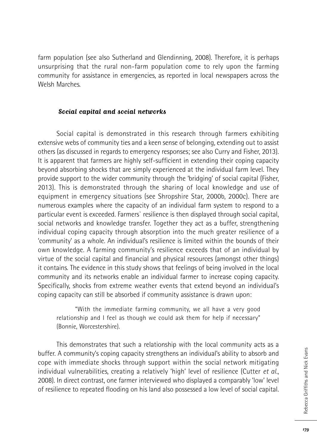farm population (see also Sutherland and Glendinning, 2008). Therefore, it is perhaps unsurprising that the rural non-farm population come to rely upon the farming community for assistance in emergencies, as reported in local newspapers across the Welsh Marches.

#### **Social capital and social networks**

Social capital is demonstrated in this research through farmers exhibiting extensive webs of community ties and a keen sense of belonging, extending out to assist others (as discussed in regards to emergency responses; see also Curry and Fisher, 2013). It is apparent that farmers are highly self-sufficient in extending their coping capacity beyond absorbing shocks that are simply experienced at the individual farm level. They provide support to the wider community through the 'bridging' of social capital (Fisher, 2013). This is demonstrated through the sharing of local knowledge and use of equipment in emergency situations (see Shropshire Star, 2000b, 2000c). There are numerous examples where the capacity of an individual farm system to respond to a particular event is exceeded. Farmers` resilience is then displayed through social capital, social networks and knowledge transfer. Together they act as a buffer, strengthening individual coping capacity through absorption into the much greater resilience of a 'community' as a whole. An individual's resilience is limited within the bounds of their own knowledge. A farming community's resilience exceeds that of an individual by virtue of the social capital and financial and physical resources (amongst other things) it contains. The evidence in this study shows that feelings of being involved in the local community and its networks enable an individual farmer to increase coping capacity. Specifically, shocks from extreme weather events that extend beyond an individual's coping capacity can still be absorbed if community assistance is drawn upon:

"With the immediate farming community, we all have a very good relationship and I feel as though we could ask them for help if necessary" (Bonnie, Worcestershire).

This demonstrates that such a relationship with the local community acts as a buffer. A community's coping capacity strengthens an individual's ability to absorb and cope with immediate shocks through support within the social network mitigating individual vulnerabilities, creating a relatively 'high' level of resilience (Cutter *et al.*, 2008). In direct contrast, one farmer interviewed who displayed a comparably 'low' level of resilience to repeated flooding on his land also possessed a low level of social capital.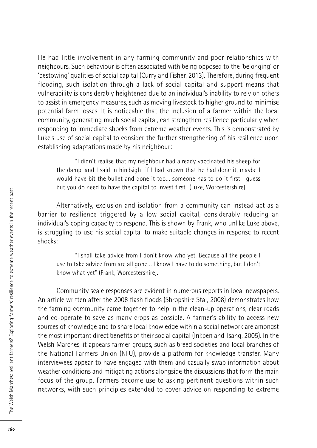He had little involvement in any farming community and poor relationships with neighbours. Such behaviour is often associated with being opposed to the 'belonging' or 'bestowing' qualities of social capital (Curry and Fisher, 2013). Therefore, during frequent flooding, such isolation through a lack of social capital and support means that vulnerability is considerably heightened due to an individual's inability to rely on others to assist in emergency measures, such as moving livestock to higher ground to minimise potential farm losses. It is noticeable that the inclusion of a farmer within the local community, generating much social capital, can strengthen resilience particularly when responding to immediate shocks from extreme weather events. This is demonstrated by Luke's use of social capital to consider the further strengthening of his resilience upon establishing adaptations made by his neighbour:

"I didn't realise that my neighbour had already vaccinated his sheep for the damp, and I said in hindsight if I had known that he had done it, maybe I would have bit the bullet and done it too… someone has to do it first I guess but you do need to have the capital to invest first" (Luke, Worcestershire).

Alternatively, exclusion and isolation from a community can instead act as a barrier to resilience triggered by a low social capital, considerably reducing an individual's coping capacity to respond. This is shown by Frank, who unlike Luke above, is struggling to use his social capital to make suitable changes in response to recent shocks:

"I shall take advice from I don't know who yet. Because all the people I use to take advice from are all gone… I know I have to do something, but I don't know what yet" (Frank, Worcestershire).

Community scale responses are evident in numerous reports in local newspapers. An article written after the 2008 flash floods (Shropshire Star, 2008) demonstrates how the farming community came together to help in the clean-up operations, clear roads and co-operate to save as many crops as possible. A farmer's ability to access new sources of knowledge and to share local knowledge within a social network are amongst the most important direct benefits of their social capital (Inkpen and Tsang, 2005). In the Welsh Marches, it appears farmer groups, such as breed societies and local branches of the National Farmers Union (NFU), provide a platform for knowledge transfer. Many interviewees appear to have engaged with them and casually swap information about weather conditions and mitigating actions alongside the discussions that form the main focus of the group. Farmers become use to asking pertinent questions within such networks, with such principles extended to cover advice on responding to extreme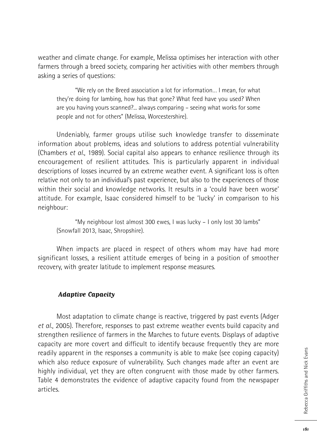weather and climate change. For example, Melissa optimises her interaction with other farmers through a breed society, comparing her activities with other members through asking a series of questions:

"We rely on the Breed association a lot for information… I mean, for what they're doing for lambing, how has that gone? What feed have you used? When are you having yours scanned?... always comparing – seeing what works for some people and not for others" (Melissa, Worcestershire).

Undeniably, farmer groups utilise such knowledge transfer to disseminate information about problems, ideas and solutions to address potential vulnerability (Chambers *et al.*, 1989). Social capital also appears to enhance resilience through its encouragement of resilient attitudes. This is particularly apparent in individual descriptions of losses incurred by an extreme weather event. A significant loss is often relative not only to an individual's past experience, but also to the experiences of those within their social and knowledge networks. It results in a 'could have been worse' attitude. For example, Isaac considered himself to be 'lucky' in comparison to his neighbour:

"My neighbour lost almost 300 ewes, I was lucky – I only lost 30 lambs" (Snowfall 2013, Isaac, Shropshire).

When impacts are placed in respect of others whom may have had more significant losses, a resilient attitude emerges of being in a position of smoother recovery, with greater latitude to implement response measures.

#### **Adaptive Capacity**

Most adaptation to climate change is reactive, triggered by past events (Adger *et al*., 2005). Therefore, responses to past extreme weather events build capacity and strengthen resilience of farmers in the Marches to future events. Displays of adaptive capacity are more covert and difficult to identify because frequently they are more readily apparent in the responses a community is able to make (see coping capacity) which also reduce exposure of vulnerability. Such changes made after an event are highly individual, yet they are often congruent with those made by other farmers. Table 4 demonstrates the evidence of adaptive capacity found from the newspaper articles.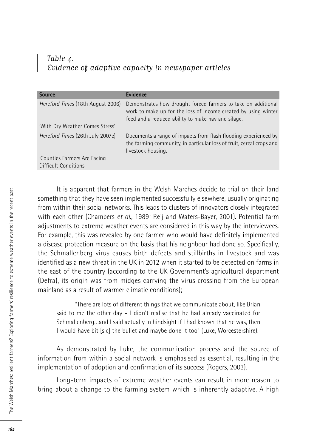### Table 4. Evidence of adaptive capacity in newspaper articles

| Evidence                                                                                                                                                                              |
|---------------------------------------------------------------------------------------------------------------------------------------------------------------------------------------|
| Demonstrates how drought forced farmers to take on additional<br>work to make up for the loss of income created by using winter<br>feed and a reduced ability to make hay and silage. |
|                                                                                                                                                                                       |
| Documents a range of impacts from flash flooding experienced by<br>the farming community, in particular loss of fruit, cereal crops and<br>livestock housing.                         |
|                                                                                                                                                                                       |
|                                                                                                                                                                                       |

It is apparent that farmers in the Welsh Marches decide to trial on their land something that they have seen implemented successfully elsewhere, usually originating from within their social networks. This leads to clusters of innovators closely integrated with each other (Chambers *et al.*, 1989; Reij and Waters-Bayer, 2001). Potential farm adjustments to extreme weather events are considered in this way by the interviewees. For example, this was revealed by one farmer who would have definitely implemented a disease protection measure on the basis that his neighbour had done so. Specifically, the Schmallenberg virus causes birth defects and stillbirths in livestock and was identified as a new threat in the UK in 2012 when it started to be detected on farms in the east of the country (according to the UK Government's agricultural department (Defra), its origin was from midges carrying the virus crossing from the European mainland as a result of warmer climatic conditions);

"There are lots of different things that we communicate about, like Brian said to me the other day – I didn't realise that he had already vaccinated for Schmallenberg…and I said actually in hindsight if I had known that he was, then I would have bit [sic] the bullet and maybe done it too" (Luke, Worcestershire).

As demonstrated by Luke, the communication process and the source of information from within a social network is emphasised as essential, resulting in the implementation of adoption and confirmation of its success (Rogers, 2003).

Long-term impacts of extreme weather events can result in more reason to bring about a change to the farming system which is inherently adaptive. A high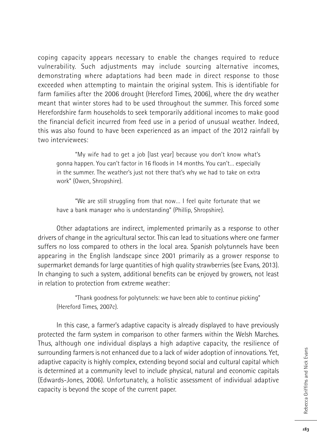coping capacity appears necessary to enable the changes required to reduce vulnerability. Such adjustments may include sourcing alternative incomes, demonstrating where adaptations had been made in direct response to those exceeded when attempting to maintain the original system. This is identifiable for farm families after the 2006 drought (Hereford Times, 2006), where the dry weather meant that winter stores had to be used throughout the summer. This forced some Herefordshire farm households to seek temporarily additional incomes to make good the financial deficit incurred from feed use in a period of unusual weather. Indeed, this was also found to have been experienced as an impact of the 2012 rainfall by two interviewees:

"My wife had to get a job [last year] because you don't know what's gonna happen. You can't factor in 16 floods in 14 months. You can't… especially in the summer. The weather's just not there that's why we had to take on extra work" (Owen, Shropshire).

"We are still struggling from that now… I feel quite fortunate that we have a bank manager who is understanding" (Phillip, Shropshire).

Other adaptations are indirect, implemented primarily as a response to other drivers of change in the agricultural sector. This can lead to situations where one farmer suffers no loss compared to others in the local area. Spanish polytunnels have been appearing in the English landscape since 2001 primarily as a grower response to supermarket demands for large quantities of high quality strawberries (see Evans, 2013). In changing to such a system, additional benefits can be enjoyed by growers, not least in relation to protection from extreme weather:

"Thank goodness for polytunnels: we have been able to continue picking" (Hereford Times, 2007c).

In this case, a farmer's adaptive capacity is already displayed to have previously protected the farm system in comparison to other farmers within the Welsh Marches. Thus, although one individual displays a high adaptive capacity, the resilience of surrounding farmers is not enhanced due to a lack of wider adoption of innovations. Yet, adaptive capacity is highly complex, extending beyond social and cultural capital which is determined at a community level to include physical, natural and economic capitals (Edwards-Jones, 2006). Unfortunately, a holistic assessment of individual adaptive capacity is beyond the scope of the current paper.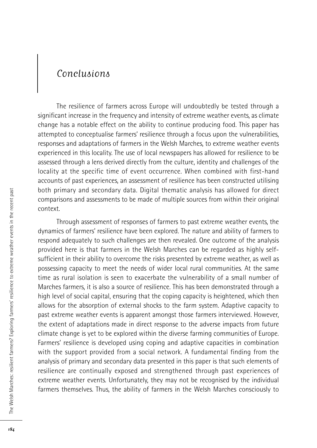### Conclusions

The resilience of farmers across Europe will undoubtedly be tested through a significant increase in the frequency and intensity of extreme weather events, as climate change has a notable effect on the ability to continue producing food. This paper has attempted to conceptualise farmers' resilience through a focus upon the vulnerabilities, responses and adaptations of farmers in the Welsh Marches, to extreme weather events experienced in this locality. The use of local newspapers has allowed for resilience to be assessed through a lens derived directly from the culture, identity and challenges of the locality at the specific time of event occurrence. When combined with first-hand accounts of past experiences, an assessment of resilience has been constructed utilising both primary and secondary data. Digital thematic analysis has allowed for direct comparisons and assessments to be made of multiple sources from within their original context.

Through assessment of responses of farmers to past extreme weather events, the dynamics of farmers' resilience have been explored. The nature and ability of farmers to respond adequately to such challenges are then revealed. One outcome of the analysis provided here is that farmers in the Welsh Marches can be regarded as highly selfsufficient in their ability to overcome the risks presented by extreme weather, as well as possessing capacity to meet the needs of wider local rural communities. At the same time as rural isolation is seen to exacerbate the vulnerability of a small number of Marches farmers, it is also a source of resilience. This has been demonstrated through a high level of social capital, ensuring that the coping capacity is heightened, which then allows for the absorption of external shocks to the farm system. Adaptive capacity to past extreme weather events is apparent amongst those farmers interviewed. However, the extent of adaptations made in direct response to the adverse impacts from future climate change is yet to be explored within the diverse farming communities of Europe. Farmers' resilience is developed using coping and adaptive capacities in combination with the support provided from a social network. A fundamental finding from the analysis of primary and secondary data presented in this paper is that such elements of resilience are continually exposed and strengthened through past experiences of extreme weather events. Unfortunately, they may not be recognised by the individual farmers themselves. Thus, the ability of farmers in the Welsh Marches consciously to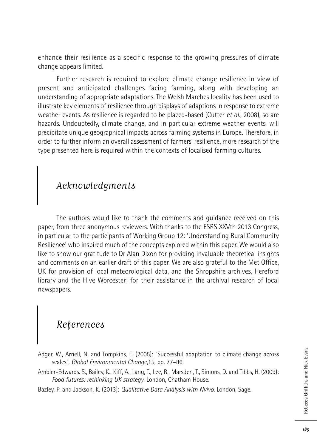enhance their resilience as a specific response to the growing pressures of climate change appears limited.

Further research is required to explore climate change resilience in view of present and anticipated challenges facing farming, along with developing an understanding of appropriate adaptations. The Welsh Marches locality has been used to illustrate key elements of resilience through displays of adaptions in response to extreme weather events. As resilience is regarded to be placed-based (Cutter *et al.*, 2008), so are hazards. Undoubtedly, climate change, and in particular extreme weather events, will precipitate unique geographical impacts across farming systems in Europe. Therefore, in order to further inform an overall assessment of farmers' resilience, more research of the type presented here is required within the contexts of localised farming cultures.

# Acknowledgments

The authors would like to thank the comments and guidance received on this paper, from three anonymous reviewers. With thanks to the ESRS XXVth 2013 Congress, in particular to the participants of Working Group 12: 'Understanding Rural Community Resilience' who inspired much of the concepts explored within this paper. We would also like to show our gratitude to Dr Alan Dixon for providing invaluable theoretical insights and comments on an earlier draft of this paper. We are also grateful to the Met Office, UK for provision of local meteorological data, and the Shropshire archives, Hereford library and the Hive Worcester; for their assistance in the archival research of local newspapers.

# References

- Adger, W., Arnell, N. and Tompkins, E. (2005): "Successful adaptation to climate change across scales", *Global Environmental Change*,15, pp. 77–86.
- Ambler-Edwards. S., Bailey, K., Kiff, A., Lang, T., Lee, R., Marsden, T., Simons, D. and Tibbs, H. (2009): *Food futures: rethinking UK strategy*. London, Chatham House.
- Bazley, P. and Jackson, K. (2013): *Qualitative Data Analysis with Nvivo*. London, Sage.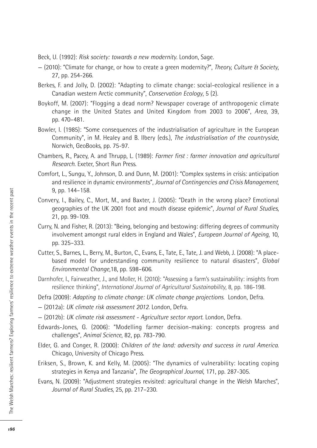Beck, U. (1992): *Risk society: towards a new modernity*. London, Sage.

- (2010): "Climate for change, or how to create a green modernity?", *Theory, Culture & Society*, 27, pp. 254-266.
- Berkes, F. and Jolly, D. (2002): "Adapting to climate change: social-ecological resilience in a Canadian western Arctic community", *Conservation Ecology*, 5 (2).
- Boykoff, M. (2007): "Flogging a dead norm? Newspaper coverage of anthropogenic climate change in the United States and United Kingdom from 2003 to 2006", *Area*, 39, pp. 470–481.
- Bowler, I. (1985): "Some consequences of the industrialisation of agriculture in the European Community", in M. Healey and B. Ilbery (eds.), *The industrialisation of the countryside*, Norwich, GeoBooks, pp. 75-97.
- Chambers, R., Pacey, A. and Thrupp, L. (1989): *Farmer first : farmer innovation and agricultural Research*. Exeter, Short Run Press.
- Comfort, L., Sungu, Y., Johnson, D. and Dunn, M. (2001): "Complex systems in crisis: anticipation and resilience in dynamic environments", *Journal of Contingencies and Crisis Management*, 9, pp. 144–158.
- Convery, I., Bailey, C., Mort, M., and Baxter, J. (2005): "Death in the wrong place? Emotional geographies of the UK 2001 foot and mouth disease epidemic", *Journal of Rural Studies*, 21, pp. 99-109.
- Curry, N. and Fisher, R. (2013): "Being, belonging and bestowing: differing degrees of community involvement amongst rural elders in England and Wales", *European Journal of Ageing*, 10, pp. 325–333.
- Cutter, S., Barnes, L., Berry, M., Burton, C., Evans, E., Tate, E., Tate, J. and Webb, J. (2008): "A placebased model for understanding community resilience to natural disasters", *Global Environmental Change*,18, pp. 598–606.
- Darnhofer, I., Fairweather, J., and Moller, H. (2010): "Assessing a farm's sustainability: insights from resilience thinking", *International Journal of Agricultural Sustainability*, 8, pp. 186-198.
- Defra (2009): *Adapting to climate change: UK climate change projections*. London, Defra.
- (2012a): *UK climate risk assessment 2012*. London, Defra.
- (2012b): *UK climate risk assessment - Agriculture sector report*. London, Defra.
- Edwards-Jones, G. (2006): "Modelling farmer decision-making: concepts progress and challenges", *Animal Science*, 82, pp. 783-790.
- Elder, G. and Conger, R. (2000): *Children of the land: adversity and success in rural America*. Chicago, University of Chicago Press.
- Eriksen, S., Brown, K. and Kelly, M. (2005): "The dynamics of vulnerability: locating coping strategies in Kenya and Tanzania", *The Geographical Journal*, 171, pp. 287-305.
- Evans, N. (2009): "Adjustment strategies revisited: agricultural change in the Welsh Marches", *Journal of Rural Studies*, 25, pp. 217–230.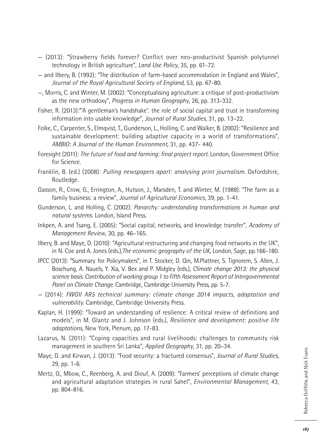- (2013): "Strawberry fields forever? Conflict over neo-productivist Spanish polytunnel technology in British agriculture", *Land Use Policy*, 35, pp. 61-72.
- and Ilbery, B. (1992): "The distribution of farm-based accommodation in England and Wales", *Journal of the Royal Agricultural Society of England*, 53, pp. 67-80.
- —, Morris, C. and Winter, M. (2002): "Conceptualising agriculture: a critique of post-productivism as the new orthodoxy", *Progress in Human Geography*, 26, pp. 313-332.
- Fisher, R. (2013):"'A gentleman's handshake': the role of social capital and trust in transforming information into usable knowledge", *Journal of Rural Studies*, 31, pp. 13–22.
- Folke, C., Carpenter, S., Elmqvist, T., Gunderson, L., Holling, C. and Walker, B. (2002): "Resilience and sustainable development: building adaptive capacity in a world of transformations", *AMBIO: A Journal of the Human Environment*, 31, pp. 437- 440.
- Foresight (2011): *The future of food and farming: final project report.* London, Government Office for Science.
- Franklin, B. (ed.) (2008): *Pulling newspapers apart: analysing print journalism*. Oxfordshire, Routledge.
- Gasson, R., Crow, G., Errington, A., Hutson, J., Marsden, T. and Winter, M. (1988): "The farm as a family business: a review", *Journal of Agricultural Economics*, 39, pp. 1-41.
- Gunderson, L. and Holling, C. (2002): *Panarchy: understanding transformations in human and natural systems.* London, Island Press.
- Inkpen, A. and Tsang, E. (2005): "Social capital, networks, and knowledge transfer", *Academy of Management Review*, 30, pp. 46–165.
- Ilbery, B. and Maye, D. (2010): "Agricultural restructuring and changing food networks in the UK", in N. Coe and A. Jones (eds.),*The economic geography of the UK*, London, Sage, pp.166-180.
- IPCC (2013): "Summary for Policymakers", in T. Stocker, D. Qin, M.Plattner, S. Tignorem, S. Allen, J. Boschung, A. Nauels, Y. Xia, V. Bex and P. Midgley (eds.), *Climate change 2013: the physical science basis. Contribution of working group 1 to Fifth Assessment Report of Intergovernmental Panel on Climate Change*. Cambridge, Cambridge University Press, pp. 5-7.
- (2014): *FWGII AR5 technical summary: climate change 2014 impacts, adaptation and vulnerability*. Cambridge, Cambridge University Press.
- Kaplan, H. (1999): "Toward an understanding of resilience: A critical review of definitions and models", in M. Glantz and J. Johnson (eds.), *Resilience and development: positive life adaptations*, New York, Plenum, pp. 17-83.
- Lazarus, N. (2011): "Coping capacities and rural livelihoods: challenges to community risk management in southern Sri Lanka", *Applied Geography*, 31, pp. 20–34.
- Maye, D. and Kirwan, J. (2013): "Food security: a fractured consensus", *Journal of Rural Studies*, 29, pp. 1-6.
- Mertz, O., Mbow, C., Reenberg, A. and Diouf, A. (2009): "Farmers' perceptions of climate change and agricultural adaptation strategies in rural Sahel", *Environmental Management*, 43, pp. 804-816.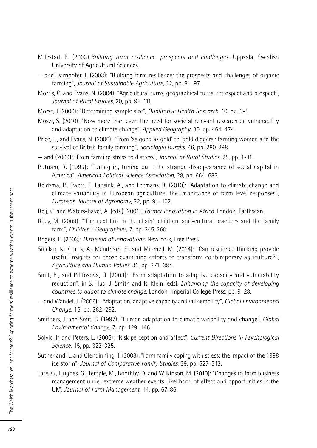- Milestad, R. (2003):*Building farm resilience: prospects and challenges*. Uppsala, Swedish University of Agricultural Sciences.
- and Darnhofer, I. (2003): "Building farm resilience: the prospects and challenges of organic farming", *Journal of Sustainable Agriculture*, 22, pp. 81–97.
- Morris, C. and Evans, N. (2004): "Agricultural turns, geographical turns: retrospect and prospect", *Journal of Rural Studies*, 20, pp. 95-111.
- Morse, J (2000): "Determining sample size", *Qualitative Health Research*, 10, pp. 3-5.
- Moser, S. (2010): "Now more than ever: the need for societal relevant research on vulnerability and adaptation to climate change", *Applied Geography*, 30, pp. 464–474.
- Price, L., and Evans, N. (2006): "From 'as good as gold' to 'gold diggers': farming women and the survival of British family farming", *Sociologia Ruralis*, 46, pp. 280-298.
- and (2009): "From farming stress to distress", *Journal of Rural Studies*, 25, pp. 1-11.
- Putnam, R. (1995): "Tuning in, tuning out : the strange disappearance of social capital in America", *American Political Science Association*, 28, pp. 664–683.
- Reidsma, P., Ewert, F., Lansink, A., and Leemans, R. (2010): "Adaptation to climate change and climate variability in European agriculture: the importance of farm level responses", *European Journal of Agronomy*, 32, pp. 91–102.
- Reij, C. and Waters-Bayer, A. (eds.) (2001): *Farmer innovation in Africa*. London, Earthscan.
- Riley, M. (2009): "'The next link in the chain': children, agri-cultural practices and the family farm", *Children's Geographies*, 7, pp. 245-260.
- Rogers, E. (2003): *Diffusion of innovations*. New York, Free Press.
- Sinclair, K., Curtis, A., Mendham, E., and Mitchell, M. (2014): "Can resilience thinking provide useful insights for those examining efforts to transform contemporary agriculture?", *Agriculture and Human Values*. 31, pp. 371–384.
- Smit, B., and Pilifosova, O. (2003): "From adaptation to adaptive capacity and vulnerability reduction", in S. Huq, J. Smith and R. Klein (eds), *Enhancing the capacity of developing countries to adapt to climate change*, London, Imperial College Press, pp. 9–28.
- and Wandel, J. (2006): "Adaptation, adaptive capacity and vulnerability", *Global Environmental Change*, 16, pp. 282–292.
- Smithers, J. and Smit, B. (1997): "Human adaptation to climatic variability and change", *Global Environmental Change*, 7, pp. 129–146.
- Solvic, P. and Peters, E. (2006): "Risk perception and affect", *Current Directions in Psychological Science*, 15, pp. 322-325.
- Sutherland, L. and Glendinning, T. (2008): "Farm family coping with stress: the impact of the 1998 ice storm", *Journal of Comparative Family Studies*, 39, pp. 527-543.
- Tate, G., Hughes, G., Temple, M., Boothby, D. and Wilkinson, M. (2010): "Changes to farm business management under extreme weather events: likelihood of effect and opportunities in the UK", *Journal of Farm Management*, 14, pp. 67-86.